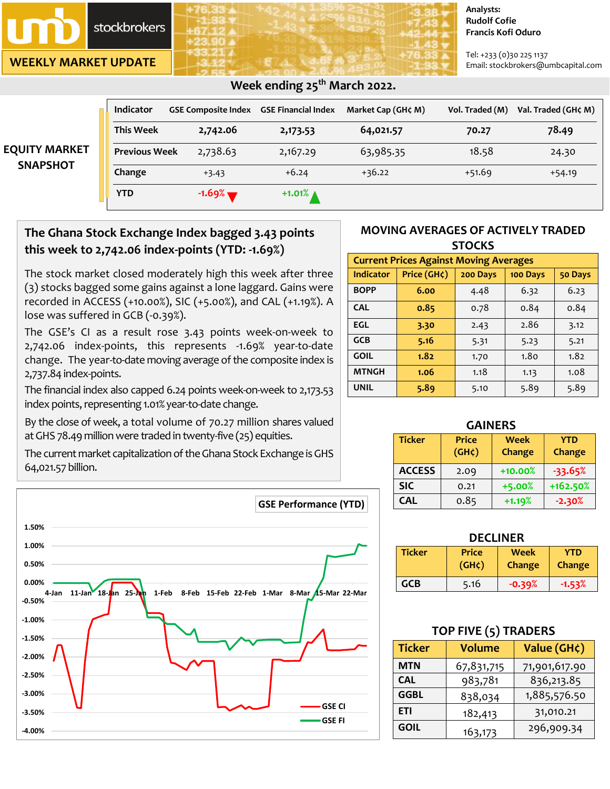stockbrokers

**WEEKLY MARKET UPDATE**

#### **Analysts: Rudolf Cofie Francis Kofi Oduro**

Tel: +233 (0)30 225 1137 Email: stockbrokers@umbcapital.com

| <b>EQUITY MARKET</b><br><b>SNAPSHOT</b> | <b>Indicator</b>     | <b>GSE Composite Index GSE Financial Index</b> |                       | Market Cap (GH¢ M) | Vol. Traded (M) | Val. Traded (GH¢ M) |
|-----------------------------------------|----------------------|------------------------------------------------|-----------------------|--------------------|-----------------|---------------------|
|                                         | <b>This Week</b>     | 2,742.06                                       | 2,173.53              | 64,021.57          | 70.27           | 78.49               |
|                                         | <b>Previous Week</b> | 2,738.63                                       | 2,167.29              | 63,985.35          | 18.58           | 24.30               |
|                                         | Change               | $+3.43$                                        | $+6.24$               | $+36.22$           | $+51.69$        | $+54.19$            |
|                                         | <b>YTD</b>           | $-1.69%$                                       | $+1.01\%$ $\triangle$ |                    |                 |                     |

 **Week ending 25th March 2022.** 

## **The Ghana Stock Exchange Index bagged 3.43 points this week to 2,742.06 index-points (YTD: -1.69%)**

The stock market closed moderately high this week after three (3) stocks bagged some gains against a lone laggard. Gains were recorded in ACCESS (+10.00%), SIC (+5.00%), and CAL (+1.19%). A lose was suffered in GCB (-0.39%).

The GSE's CI as a result rose 3.43 points week-on-week to 2,742.06 index-points, this represents -1.69% year-to-date change. The year-to-date moving average of the composite index is 2,737.84 index-points.

The financial index also capped 6.24 points week-on-week to 2,173.53 index points, representing 1.01% year-to-date change.

By the close of week, a total volume of 70.27 million shares valued atGHS 78.49 million were traded in twenty-five (25) equities.

The current market capitalization of the Ghana Stock Exchange is GHS 64,021.57 billion.



## **MOVING AVERAGES OF ACTIVELY TRADED STOCKS**

| <b>Current Prices Against Moving Averages</b> |             |          |          |         |  |
|-----------------------------------------------|-------------|----------|----------|---------|--|
| Indicator                                     | Price (GH¢) | 200 Days | 100 Days | 50 Days |  |
| <b>BOPP</b>                                   | 6.00        | 4.48     | 6.32     | 6.23    |  |
| <b>CAL</b>                                    | 0.85        | 0.78     | 0.84     | 0.84    |  |
| EGL                                           | 3.30        | 2.43     | 2.86     | 3.12    |  |
| <b>GCB</b>                                    | 5.16        | 5.31     | 5.23     | 5.21    |  |
| <b>GOIL</b>                                   | 1.82        | 1.70     | 1.80     | 1.82    |  |
| <b>MTNGH</b>                                  | 1.06        | 1.18     | 1.13     | 1.08    |  |
| <b>UNIL</b>                                   | 5.89        | 5.10     | 5.89     | 5.89    |  |

| <b>GAINERS</b> |                    |             |               |  |  |
|----------------|--------------------|-------------|---------------|--|--|
| <b>Ticker</b>  | <b>Price</b>       | <b>Week</b> | <b>YTD</b>    |  |  |
|                | (GH <sub>c</sub> ) | Change      | <b>Change</b> |  |  |
| <b>ACCESS</b>  | 2.09               | $+10.00%$   | $-33.65%$     |  |  |
| <b>SIC</b>     | 0.21               | $+5.00%$    | +162.50%      |  |  |
| <b>CAL</b>     | 0.85               | $+1.19%$    | $-2.30%$      |  |  |

| <b>DECLINER</b> |                             |                              |                      |  |
|-----------------|-----------------------------|------------------------------|----------------------|--|
| <b>Ticker</b>   | <b>Price</b><br>$(GH\zeta)$ | <b>Week</b><br><b>Change</b> | <b>YTD</b><br>Change |  |
| GCB             | 5.16                        | $-0.39%$                     | $-1.53%$             |  |

| TOP FIVE (5) TRADERS |               |               |  |  |
|----------------------|---------------|---------------|--|--|
| <b>Ticker</b>        | <b>Volume</b> | Value (GH¢)   |  |  |
| <b>MTN</b>           | 67,831,715    | 71,901,617.90 |  |  |
| <b>CAL</b>           | 983,781       | 836,213.85    |  |  |
| <b>GGBL</b>          | 838,034       | 1,885,576.50  |  |  |
| <b>ETI</b>           | 182,413       | 31,010.21     |  |  |
| <b>GOIL</b>          | 163,173       | 296,909.34    |  |  |